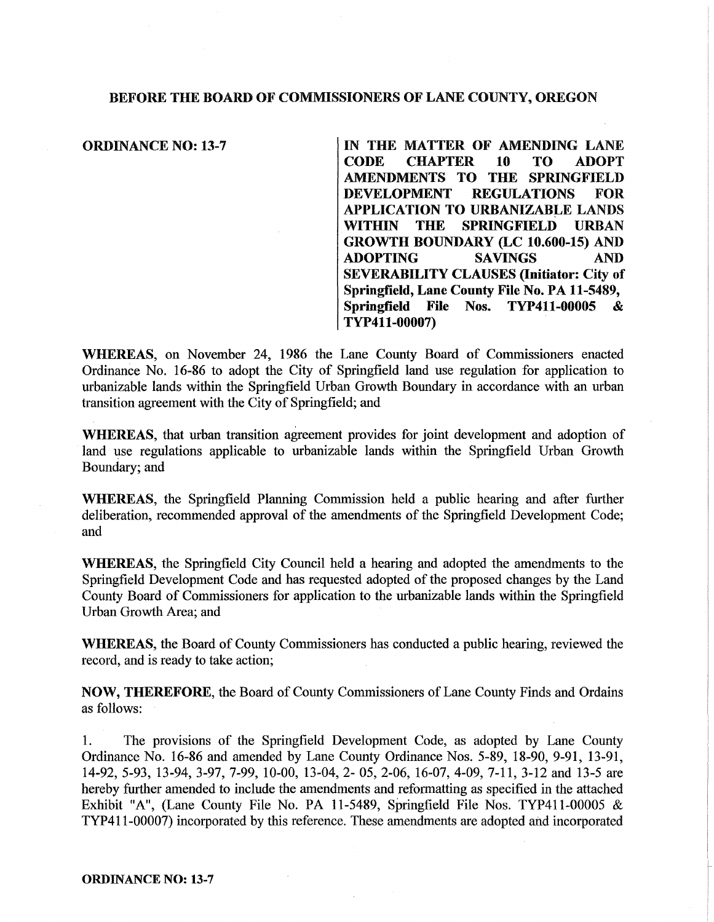## BEFORE THE BOARD OF COMMISSIONERS OF LANE COUNTY, OREGON

ORDINANCE NO: 13-7 IN THE MATTER OF AMENDING LANE **CHAPTER** AMENDMENTS TO THE SPRINGFIELD DEVELOPMENT REGULATIONS FOR APPLICATION TO URBANIZABLE LANDS WITHIN THE SPRINGFIELD URBAN GROWTH BOUNDARY (LC 10.600-15) AND<br>ADOPTING SAVINGS AND ADOPTING SAVINGS AND SEVERABILITY CLAUSES (Initiator: City of Springfield, Lane County File No. PA 11-5489, Springfield File Nos. TYP411-00005 & TYP411-00007)

WHEREAS, on November 24, 1986 the Lane County Board of Commissioners enacted Ordinance No. 16-86 to adopt the City of Springfield land use regulation for application to urbanizable lands within the Springfield Urban Growth Boundary in accordance with an urban transition agreement with the City of Springfield; and

WHEREAS, that urban transition agreement provides for joint development and adoption of land use regulations applicable to urbanizable lands within the Springfield Urban Growth Boundary; and

WHEREAS, the Springfield Planning Commission held a public hearing and after further deliberation, recommended approval of the amendments of the Springfield Development Code; and

WHEREAS, the Springfield City Council held a hearing and adopted the amendments to the Springfield Development Code and has requested adopted of the proposed changes by the Land County Board of Commissioners for application to the urbanizable lands within the Springfield Urban Growth Area; and

WHEREAS, the Board of County Commissioners has conducted a public hearing, reviewed the record, and is ready to take action;

NOW, THEREFORE, the Board of County Commissioners of Lane County Finds and Ordains as follows:

1. The provisions of the Springfield Development Code, as adopted by Lane County Ordinance No. 16-86 and amended by Lane County Ordinance Nos. 5-89, 18-90, 9-91, 13-91, 14-92, 5-93, 13-94, 3-97, 7-99, 10-00, 13-04, 2- 05, 2-06, 16-07, 4-09, 7-11, 3-12 and 13-5 are hereby further amended to include the amendments and reformatting as specified in the attached Exhibit "A", (Lane County File No. PA 11-5489, Springfield File Nos. TYP411-00005 & TYP411-00007) incorporated by this reference. These amendments are adopted and incorporated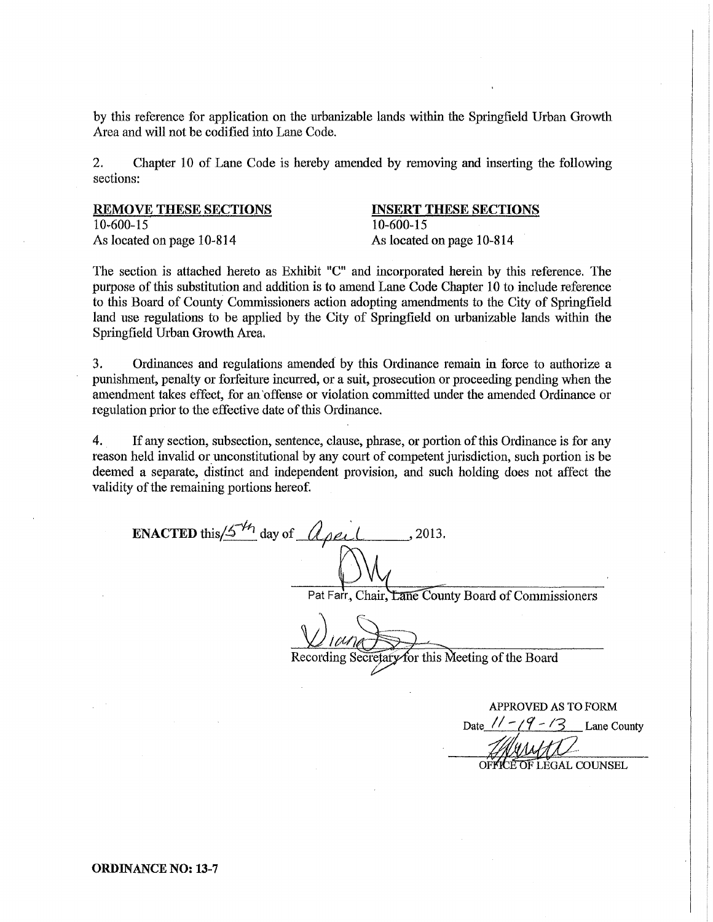by this reference for application on the urbanizable lands within the Springfield Urban Growth Area and will not be codified into Lane Code.

2. Chapter 10 of Lane Code is hereby amended by removing and inserting the following sections:

| <b>REMOVE THESE SECTIONS</b> |
|------------------------------|
| 10-600-15                    |
| As located on page 10-814    |

## INSERT THESE SECTIONS 10-600-15

As located on page 10-814

The section is attached hereto as Exhibit "C" and incorporated herein by this reference. The purpose of this substitution and addition is to amend Lane Code Chapter 10 to include reference to this Board of County Commissioners action adopting amendments to the City of Springfield land use regulations to be applied by the City of Springfield on urbanizable lands within the Springfield Urban Growth Area.

3. Ordinances and regulations amended by this Ordinance remain in force to authorize a punishment, penalty or forfeiture incurred, or a suit, prosecution or proceeding pending when the amendment takes effect, for an 'offense or violation committed under the amended Ordinance or regulation prior to the effective date of this Ordinance.

4. If any section, subsection, sentence, clause, phrase, or portion of this Ordinance is for any reason held invalid or unconstitutional by any court of competent jurisdiction, such portion is be deemed a separate, distinct and independent provision, and such holding does not affect the validity of the remaining portions hereof.

ENACTED this  $/5^{1/4}$  day of  $\alpha$  peil, 2013.

Pat Farr, Chair, Lane County Board of Commissioners

Recording Secretary for this Meeting of the Board

APPROVED AS TO FORM Date  $1 - 19 - 13$  Lane County OF LEGAL COUNSEL

ORDINANCE NO: 13-7